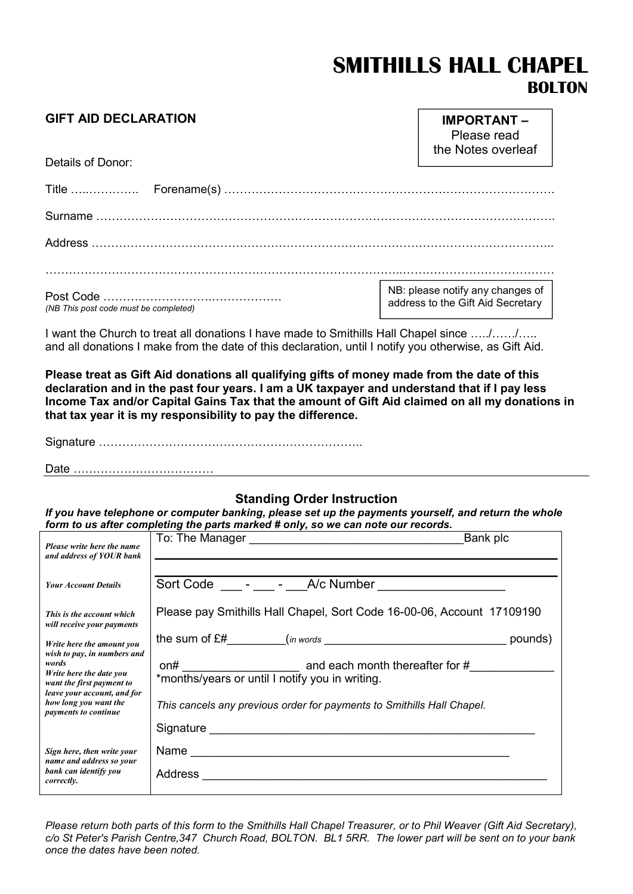# SMITHILLS HALL CHAPEL BOLTON

#### GIFT AID DECLARATION

Details of Donor:

IMPORTANT – Please read the Notes overleaf

| (NB This post code must be completed) | NB: please notify any changes of  <br>address to the Gift Aid Secretary |
|---------------------------------------|-------------------------------------------------------------------------|

I want the Church to treat all donations I have made to Smithills Hall Chapel since ...../....../..... and all donations I make from the date of this declaration, until I notify you otherwise, as Gift Aid.

Please treat as Gift Aid donations all qualifying gifts of money made from the date of this declaration and in the past four years. I am a UK taxpayer and understand that if I pay less Income Tax and/or Capital Gains Tax that the amount of Gift Aid claimed on all my donations in that tax year it is my responsibility to pay the difference.

Signature …………………………………………………………..

Date ………………………………

#### Standing Order Instruction

If you have telephone or computer banking, please set up the payments yourself, and return the whole form to us after completing the parts marked # only, so we can note our records.

| Please write here the name<br>and address of YOUR bank                                        | Bank plc                                                               |  |
|-----------------------------------------------------------------------------------------------|------------------------------------------------------------------------|--|
| <b>Your Account Details</b>                                                                   | Sort Code - - A/c Number                                               |  |
| This is the account which<br>will receive your payments                                       | Please pay Smithills Hall Chapel, Sort Code 16-00-06, Account 17109190 |  |
| Write here the amount you<br>wish to pay, in numbers and                                      | pounds)                                                                |  |
| words<br>Write here the date you<br>want the first payment to                                 | *months/years or until I notify you in writing.                        |  |
| leave your account, and for<br>how long you want the<br>payments to continue                  | This cancels any previous order for payments to Smithills Hall Chapel. |  |
|                                                                                               |                                                                        |  |
| Sign here, then write your<br>name and address so your<br>bank can identify you<br>correctly. |                                                                        |  |
|                                                                                               |                                                                        |  |

Please return both parts of this form to the Smithills Hall Chapel Treasurer, or to Phil Weaver (Gift Aid Secretary), c/o St Peter's Parish Centre,347 Church Road, BOLTON. BL1 5RR. The lower part will be sent on to your bank once the dates have been noted.